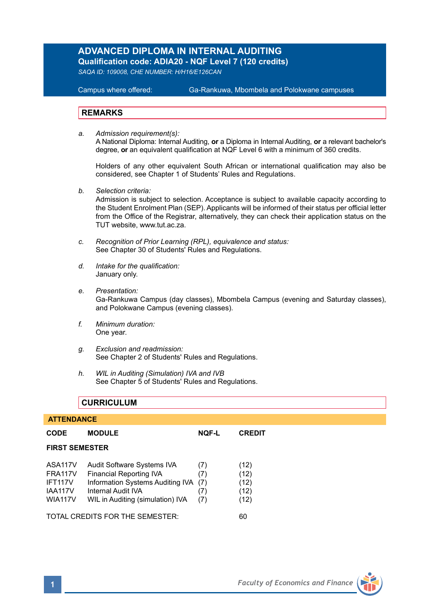# **ADVANCED DIPLOMA IN INTERNAL AUDITING**

**Qualification code: ADIA20 - NQF Level 7 (120 credits)** 

*SAQA ID: 109008, CHE NUMBER: H/H16/E126CAN* 

#### **Campus where offered:**

Ga-Rankuwa, Mbombela and Polokwane campuses

### **REMARKS**

*a. Admission requirement(s):*  A National Diploma: Internal Auditing, **or** a Diploma in Internal Auditing, **or** a relevant bachelor's degree, **or** an equivalent qualification at NQF Level 6 with a minimum of 360 credits.

Holders of any other equivalent South African or international qualification may also be considered, see Chapter 1 of Students' Rules and Regulations.

*b. Selection criteria:*

Admission is subject to selection. Acceptance is subject to available capacity according to the Student Enrolment Plan (SEP). Applicants will be informed of their status per official letter from the Office of the Registrar, alternatively, they can check their application status on the TUT website, www.tut.ac.za.

- *c. Recognition of Prior Learning (RPL), equivalence and status:* See Chapter 30 of Students' Rules and Regulations.
- *d. Intake for the qualification:* January only.
- *e. Presentation:* Ga-Rankuwa Campus (day classes), Mbombela Campus (evening and Saturday classes), and Polokwane Campus (evening classes).
- *f. Minimum duration:* One year.
- *g. Exclusion and readmission:* See Chapter 2 of Students' Rules and Regulations.
- *h. WIL in Auditing (Simulation) IVA and IVB* See Chapter 5 of Students' Rules and Regulations.

# **CURRICULUM**

#### **ATTENDANCE**

| CODE                                                                     | <b>MODULE</b>                                                                                                                                              | NQF-L                           | <b>CREDIT</b>                        |  |  |
|--------------------------------------------------------------------------|------------------------------------------------------------------------------------------------------------------------------------------------------------|---------------------------------|--------------------------------------|--|--|
| <b>FIRST SEMESTER</b>                                                    |                                                                                                                                                            |                                 |                                      |  |  |
| ASA117V<br><b>FRA117V</b><br>IFT117V<br><b>IAA117V</b><br><b>WIA117V</b> | Audit Software Systems IVA<br><b>Financial Reporting IVA</b><br>Information Systems Auditing IVA<br>Internal Audit IVA<br>WIL in Auditing (simulation) IVA | (7)<br>(7)<br>(7)<br>(7)<br>(7) | (12)<br>(12)<br>(12)<br>(12)<br>(12) |  |  |
| TOTAL CREDITS FOR THE SEMESTER:                                          |                                                                                                                                                            |                                 |                                      |  |  |

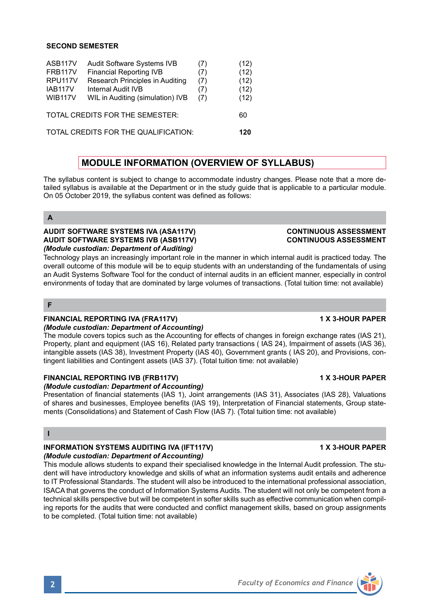### **SECOND SEMESTER**

| ASB117V                              | Audit Software Systems IVB       | (7) | (12) |
|--------------------------------------|----------------------------------|-----|------|
| <b>FRB117V</b>                       | <b>Financial Reporting IVB</b>   | (7) | (12) |
| RPU <sub>117V</sub>                  | Research Principles in Auditing  | (7) | (12) |
| IAB117V                              | Internal Audit IVB               | (7) | (12) |
| <b>WIB117V</b>                       | WIL in Auditing (simulation) IVB | (7) | (12) |
| TOTAL CREDITS FOR THE SEMESTER:      |                                  |     | 60   |
| TOTAL CREDITS FOR THE QUALIFICATION: |                                  |     |      |

# **MODULE INFORMATION (OVERVIEW OF SYLLABUS)**

The syllabus content is subject to change to accommodate industry changes. Please note that a more detailed syllabus is available at the Department or in the study guide that is applicable to a particular module. On 05 October 2019, the syllabus content was defined as follows:

**A**

#### **AUDIT SOFTWARE SYSTEMS IVA (ASA117V) CONTINUOUS ASSESSMENT AUDIT SOFTWARE SYSTEMS IVB (ASB117V)** *(Module custodian: Department of Auditing)*

Technology plays an increasingly important role in the manner in which internal audit is practiced today. The overall outcome of this module will be to equip students with an understanding of the fundamentals of using an Audit Systems Software Tool for the conduct of internal audits in an efficient manner, especially in control environments of today that are dominated by large volumes of transactions. (Total tuition time: not available)

#### **F**

# **FINANCIAL REPORTING IVA (FRA117V) 1 X 3-HOUR PAPER**

#### *(Module custodian: Department of Accounting)*

The module covers topics such as the Accounting for effects of changes in foreign exchange rates (IAS 21), Property, plant and equipment (IAS 16), Related party transactions ( IAS 24), Impairment of assets (IAS 36), intangible assets (IAS 38), Investment Property (IAS 40), Government grants ( IAS 20), and Provisions, contingent liabilities and Contingent assets (IAS 37). (Total tuition time: not available)

# **FINANCIAL REPORTING IVB (FRB117V)** 1 1 X 3-HOUR PAPER

### *(Module custodian: Department of Accounting)*

Presentation of financial statements (IAS 1), Joint arrangements (IAS 31), Associates (IAS 28), Valuations of shares and businesses, Employee benefits (IAS 19), Interpretation of Financial statements, Group statements (Consolidations) and Statement of Cash Flow (IAS 7). (Total tuition time: not available)

#### **I**

# **INFORMATION SYSTEMS AUDITING IVA (IFT117V) 1 X 3-HOUR PAPER**

### *(Module custodian: Department of Accounting)*

This module allows students to expand their specialised knowledge in the Internal Audit profession. The student will have introductory knowledge and skills of what an information systems audit entails and adherence to IT Professional Standards. The student will also be introduced to the international professional association, ISACA that governs the conduct of Information Systems Audits. The student will not only be competent from a technical skills perspective but will be competent in softer skills such as effective communication when compiling reports for the audits that were conducted and conflict management skills, based on group assignments to be completed. (Total tuition time: not available)